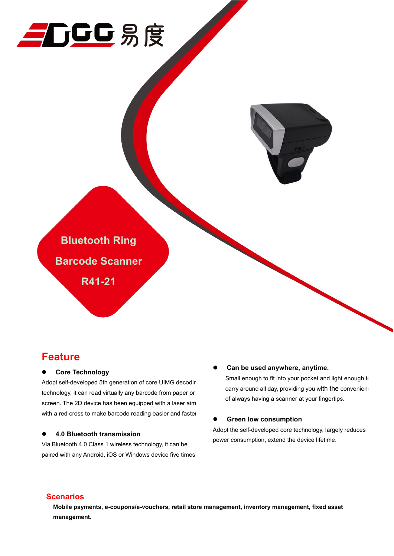



## **Feature**

## **Core Technology**

Adopt self-developed 5th generation of core UIMG decodir technology, it can read virtually any barcode from paper or screen. The 2D device has been equipped with a laser aim with a red cross to make barcode reading easier and faster

#### **4.0 Bluetooth transmission**

Via Bluetooth 4.0 Class 1 wireless technology, it can be paired with any Android, iOS or Windows device five times

#### **Can be used anywhere, anytime.**

Small enough to fit into your pocket and light enough to carry around all day, providing you with the conveniend of always having a scanner at your fingertips.

#### **Green low consumption**

Adopt the self-developed core technology, largely reduces power consumption, extend the device lifetime.

## **Scenarios**

**Mobile payments, e-coupons/e-vouchers, retail store management, inventory management, fixed asset management.**